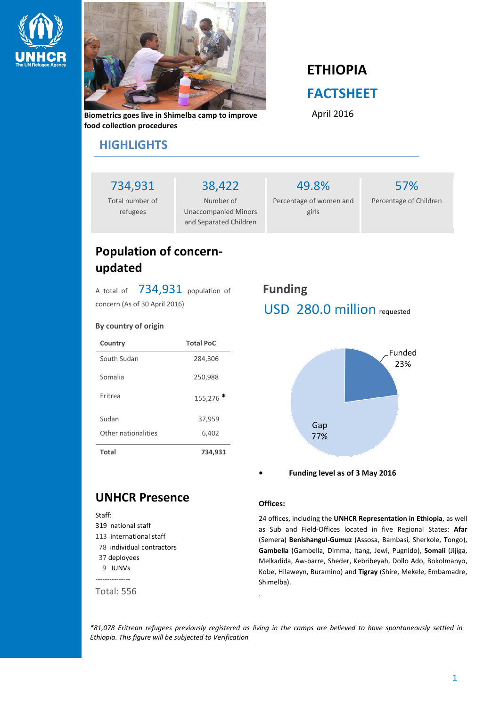



**Biometrics goes live in Shimelba camp to improve food collection procedures**

# **ETHIOPIA FACTSHEET**

April 2016

### **HIGHLIGHTS**

734,931

Total number of refugees

Number of Unaccompanied Minors and Separated Children

38,422

49.8% Percentage of women and girls

57% Percentage of Children

### **Population of concernupdated**

A total of 734,931 population of concern (As of 30 April 2016)

#### **By country of origin**

| Country             | <b>Total PoC</b> |
|---------------------|------------------|
| South Sudan         | 284,306          |
| Somalia             | 250,988          |
| <b>Fritrea</b>      | 155,276          |
| Sudan               | 37,959           |
| Other nationalities | 6,402            |
| <b>Total</b>        | 734,931          |

## **Funding** USD 280.0 million requested



**• Funding level as of 3 May 2016**

### **UNHCR Presence**

#### Staff: 319 national staff 113 international staff 78 individual contractors 37 deployees 9 IUNVs --------------- Total: 556

#### **Offices:**

24 offices, including the **UNHCR Representation in Ethiopia**, as well as Sub and Field-Offices located in five Regional States: **Afar** (Semera) **Benishangul-Gumuz** (Assosa, Bambasi, Sherkole, Tongo), **Gambella** (Gambella, Dimma, Itang, Jewi, Pugnido), **Somali** (Jijiga, Melkadida, Aw-barre, Sheder, Kebribeyah, Dollo Ado, Bokolmanyo, Kobe, Hilaweyn, Buramino) and **Tigray** (Shire, Mekele, Embamadre, Shimelba).

*\*81,078 Eritrean refugees previously registered as living in the camps are believed to have spontaneously settled in Ethiopia. This figure will be subjected to Verification*

.

1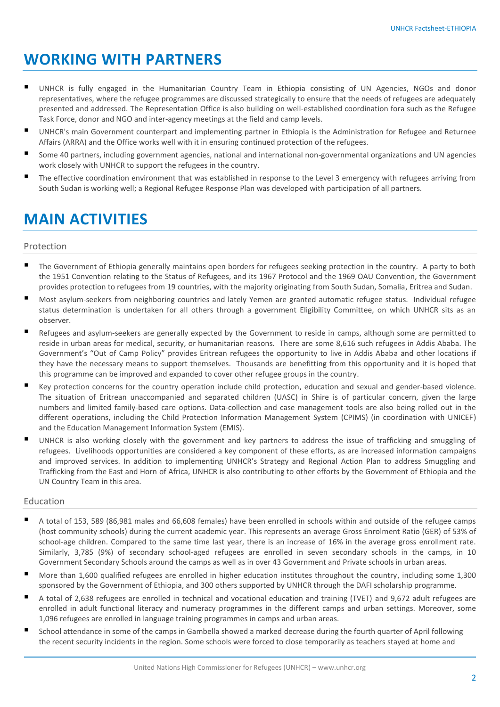## **WORKING WITH PARTNERS**

- UNHCR is fully engaged in the Humanitarian Country Team in Ethiopia consisting of UN Agencies, NGOs and donor representatives, where the refugee programmes are discussed strategically to ensure that the needs of refugees are adequately presented and addressed. The Representation Office is also building on well-established coordination fora such as the Refugee Task Force, donor and NGO and inter-agency meetings at the field and camp levels.
- UNHCR's main Government counterpart and implementing partner in Ethiopia is the Administration for Refugee and Returnee Affairs (ARRA) and the Office works well with it in ensuring continued protection of the refugees.
- Some 40 partners, including government agencies, national and international non-governmental organizations and UN agencies work closely with UNHCR to support the refugees in the country.
- The effective coordination environment that was established in response to the Level 3 emergency with refugees arriving from South Sudan is working well; a Regional Refugee Response Plan was developed with participation of all partners.

## **MAIN ACTIVITIES**

#### Protection

- The Government of Ethiopia generally maintains open borders for refugees seeking protection in the country. A party to both the 1951 Convention relating to the Status of Refugees, and its 1967 Protocol and the 1969 OAU Convention, the Government provides protection to refugees from 19 countries, with the majority originating from South Sudan, Somalia, Eritrea and Sudan.
- Most asylum-seekers from neighboring countries and lately Yemen are granted automatic refugee status. Individual refugee status determination is undertaken for all others through a government Eligibility Committee, on which UNHCR sits as an observer.
- Refugees and asylum-seekers are generally expected by the Government to reside in camps, although some are permitted to reside in urban areas for medical, security, or humanitarian reasons. There are some 8,616 such refugees in Addis Ababa. The Government's "Out of Camp Policy" provides Eritrean refugees the opportunity to live in Addis Ababa and other locations if they have the necessary means to support themselves. Thousands are benefitting from this opportunity and it is hoped that this programme can be improved and expanded to cover other refugee groups in the country.
- Key protection concerns for the country operation include child protection, education and sexual and gender-based violence. The situation of Eritrean unaccompanied and separated children (UASC) in Shire is of particular concern, given the large numbers and limited family-based care options. Data-collection and case management tools are also being rolled out in the different operations, including the Child Protection Information Management System (CPIMS) (in coordination with UNICEF) and the Education Management Information System (EMIS).
- UNHCR is also working closely with the government and key partners to address the issue of trafficking and smuggling of refugees. Livelihoods opportunities are considered a key component of these efforts, as are increased information campaigns and improved services. In addition to implementing UNHCR's Strategy and Regional Action Plan to address Smuggling and Trafficking from the East and Horn of Africa, UNHCR is also contributing to other efforts by the Government of Ethiopia and the UN Country Team in this area.

#### Education

- A total of 153, 589 (86,981 males and 66,608 females) have been enrolled in schools within and outside of the refugee camps (host community schools) during the current academic year. This represents an average Gross Enrolment Ratio (GER) of 53% of school-age children. Compared to the same time last year, there is an increase of 16% in the average gross enrollment rate. Similarly, 3,785 (9%) of secondary school-aged refugees are enrolled in seven secondary schools in the camps, in 10 Government Secondary Schools around the camps as well as in over 43 Government and Private schools in urban areas.
- More than 1,600 qualified refugees are enrolled in higher education institutes throughout the country, including some 1,300 sponsored by the Government of Ethiopia, and 300 others supported by UNHCR through the DAFI scholarship programme.
- A total of 2,638 refugees are enrolled in technical and vocational education and training (TVET) and 9,672 adult refugees are enrolled in adult functional literacy and numeracy programmes in the different camps and urban settings. Moreover, some 1,096 refugees are enrolled in language training programmes in camps and urban areas.
- School attendance in some of the camps in Gambella showed a marked decrease during the fourth quarter of April following the recent security incidents in the region. Some schools were forced to close temporarily as teachers stayed at home and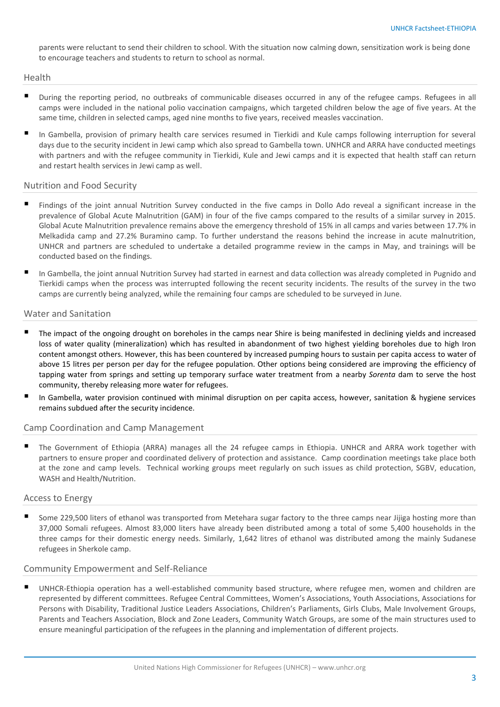parents were reluctant to send their children to school. With the situation now calming down, sensitization work is being done to encourage teachers and students to return to school as normal.

#### Health

- During the reporting period, no outbreaks of communicable diseases occurred in any of the refugee camps. Refugees in all camps were included in the national polio vaccination campaigns, which targeted children below the age of five years. At the same time, children in selected camps, aged nine months to five years, received measles vaccination.
- In Gambella, provision of primary health care services resumed in Tierkidi and Kule camps following interruption for several days due to the security incident in Jewi camp which also spread to Gambella town. UNHCR and ARRA have conducted meetings with partners and with the refugee community in Tierkidi, Kule and Jewi camps and it is expected that health staff can return and restart health services in Jewi camp as well.

#### Nutrition and Food Security

- Findings of the joint annual Nutrition Survey conducted in the five camps in Dollo Ado reveal a significant increase in the prevalence of Global Acute Malnutrition (GAM) in four of the five camps compared to the results of a similar survey in 2015. Global Acute Malnutrition prevalence remains above the emergency threshold of 15% in all camps and varies between 17.7% in Melkadida camp and 27.2% Buramino camp. To further understand the reasons behind the increase in acute malnutrition, UNHCR and partners are scheduled to undertake a detailed programme review in the camps in May, and trainings will be conducted based on the findings.
- In Gambella, the joint annual Nutrition Survey had started in earnest and data collection was already completed in Pugnido and Tierkidi camps when the process was interrupted following the recent security incidents. The results of the survey in the two camps are currently being analyzed, while the remaining four camps are scheduled to be surveyed in June.

#### Water and Sanitation

- The impact of the ongoing drought on boreholes in the camps near Shire is being manifested in declining yields and increased loss of water quality (mineralization) which has resulted in abandonment of two highest yielding boreholes due to high Iron content amongst others. However, this has been countered by increased pumping hours to sustain per capita access to water of above 15 litres per person per day for the refugee population. Other options being considered are improving the efficiency of tapping water from springs and setting up temporary surface water treatment from a nearby *Sorenta* dam to serve the host community, thereby releasing more water for refugees.
- In Gambella, water provision continued with minimal disruption on per capita access, however, sanitation & hygiene services remains subdued after the security incidence.

#### Camp Coordination and Camp Management

 The Government of Ethiopia (ARRA) manages all the 24 refugee camps in Ethiopia. UNHCR and ARRA work together with partners to ensure proper and coordinated delivery of protection and assistance. Camp coordination meetings take place both at the zone and camp levels. Technical working groups meet regularly on such issues as child protection, SGBV, education, WASH and Health/Nutrition.

#### Access to Energy

 Some 229,500 liters of ethanol was transported from Metehara sugar factory to the three camps near Jijiga hosting more than 37,000 Somali refugees. Almost 83,000 liters have already been distributed among a total of some 5,400 households in the three camps for their domestic energy needs. Similarly, 1,642 litres of ethanol was distributed among the mainly Sudanese refugees in Sherkole camp.

#### Community Empowerment and Self-Reliance

 UNHCR-Ethiopia operation has a well-established community based structure, where refugee men, women and children are represented by different committees. Refugee Central Committees, Women's Associations, Youth Associations, Associations for Persons with Disability, Traditional Justice Leaders Associations, Children's Parliaments, Girls Clubs, Male Involvement Groups, Parents and Teachers Association, Block and Zone Leaders, Community Watch Groups, are some of the main structures used to ensure meaningful participation of the refugees in the planning and implementation of different projects.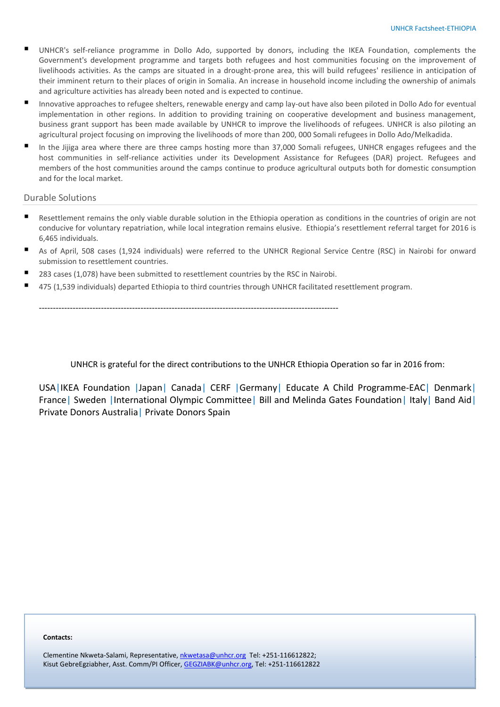4

- UNHCR's self-reliance programme in Dollo Ado, supported by donors, including the IKEA Foundation, complements the Government's development programme and targets both refugees and host communities focusing on the improvement of livelihoods activities. As the camps are situated in a drought-prone area, this will build refugees' resilience in anticipation of their imminent return to their places of origin in Somalia. An increase in household income including the ownership of animals and agriculture activities has already been noted and is expected to continue.
- Innovative approaches to refugee shelters, renewable energy and camp lay-out have also been piloted in Dollo Ado for eventual implementation in other regions. In addition to providing training on cooperative development and business management, business grant support has been made available by UNHCR to improve the livelihoods of refugees. UNHCR is also piloting an agricultural project focusing on improving the livelihoods of more than 200, 000 Somali refugees in Dollo Ado/Melkadida.
- In the Jijiga area where there are three camps hosting more than 37,000 Somali refugees, UNHCR engages refugees and the host communities in self-reliance activities under its Development Assistance for Refugees (DAR) project. Refugees and members of the host communities around the camps continue to produce agricultural outputs both for domestic consumption and for the local market.

#### Durable Solutions

- Resettlement remains the only viable durable solution in the Ethiopia operation as conditions in the countries of origin are not conducive for voluntary repatriation, while local integration remains elusive. Ethiopia's resettlement referral target for 2016 is 6,465 individuals.
- As of April, 508 cases (1,924 individuals) were referred to the UNHCR Regional Service Centre (RSC) in Nairobi for onward submission to resettlement countries.
- 283 cases (1,078) have been submitted to resettlement countries by the RSC in Nairobi.

----------------------------------------------------------------------------------------------------------

475 (1,539 individuals) departed Ethiopia to third countries through UNHCR facilitated resettlement program.

UNHCR is grateful for the direct contributions to the UNHCR Ethiopia Operation so far in 2016 from:

USA|IKEA Foundation |Japan| Canada| CERF |Germany| Educate A Child Programme-EAC| Denmark| France| Sweden |International Olympic Committee| Bill and Melinda Gates Foundation| Italy| Band Aid| Private Donors Australia| Private Donors Spain

#### **Contacts:**

Kisut GebreEgziabher, Asst. Comm/PI Officer, <u>GEGZIABK@unhcr.org</u>, Tel: +251-116612822 Clementine Nkweta-Salami, Representative, [nkwetasa@unhcr.org](mailto:nkwetasa@unhcr.org) Tel: +251-116612822;